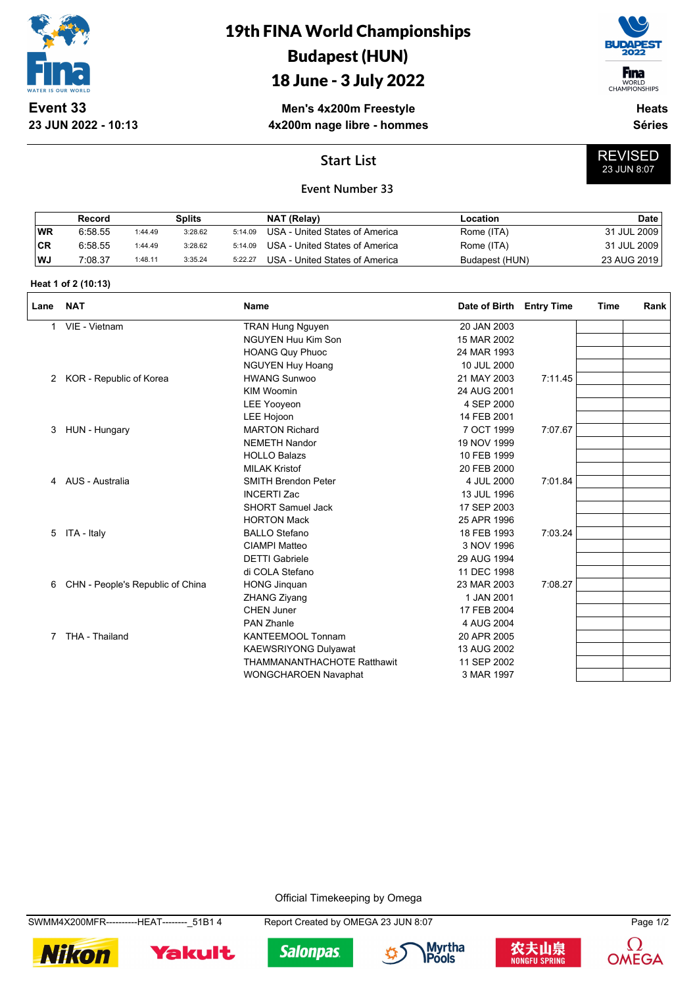

**23 JUN 2022 - 10:13**

# 19th FINA World Championships Budapest (HUN)

### 18 June - 3 July 2022

**Men's 4x200m Freestyle 4x200m nage libre - hommes**



WORLD<br>CHAMPIONSHIPS **Heats**

REVISED 23 JUN 8:07

**Séries**

### **Start List**



|           | Record  |         | Splits  |         | NAT (Relay)                    | Location       | <b>Date</b> |
|-----------|---------|---------|---------|---------|--------------------------------|----------------|-------------|
| WR        | 6.58.55 | 1:44.49 | 3:28.62 | 5:14.09 | USA - United States of America | Rome (ITA)     | 31 JUL 2009 |
| <b>CR</b> | 6.58.55 | 1:44.49 | 3:28.62 | 5:14.09 | USA - United States of America | Rome (ITA)     | 31 JUL 2009 |
| WJ        | 7:08.37 | 1:48.11 | 3:35.24 | 5:22.27 | USA - United States of America | Budapest (HUN) | 23 AUG 2019 |

#### **Heat 1 of 2 (10:13)**

| Lane | <b>NAT</b>                       | <b>Name</b>                        | Date of Birth | <b>Entry Time</b> | Time | Rank |
|------|----------------------------------|------------------------------------|---------------|-------------------|------|------|
| 1    | VIE - Vietnam                    | <b>TRAN Hung Nguyen</b>            | 20 JAN 2003   |                   |      |      |
|      |                                  | <b>NGUYEN Huu Kim Son</b>          | 15 MAR 2002   |                   |      |      |
|      |                                  | <b>HOANG Quy Phuoc</b>             | 24 MAR 1993   |                   |      |      |
|      |                                  | <b>NGUYEN Huy Hoang</b>            | 10 JUL 2000   |                   |      |      |
| 2    | KOR - Republic of Korea          | <b>HWANG Sunwoo</b>                | 21 MAY 2003   | 7:11.45           |      |      |
|      |                                  | <b>KIM Woomin</b>                  | 24 AUG 2001   |                   |      |      |
|      |                                  | <b>LEE Yooyeon</b>                 | 4 SEP 2000    |                   |      |      |
|      |                                  | <b>LEE Hojoon</b>                  | 14 FEB 2001   |                   |      |      |
| 3    | HUN - Hungary                    | <b>MARTON Richard</b>              | 7 OCT 1999    | 7:07.67           |      |      |
|      |                                  | <b>NEMETH Nandor</b>               | 19 NOV 1999   |                   |      |      |
|      |                                  | <b>HOLLO Balazs</b>                | 10 FEB 1999   |                   |      |      |
|      |                                  | <b>MILAK Kristof</b>               | 20 FEB 2000   |                   |      |      |
| 4    | AUS - Australia                  | <b>SMITH Brendon Peter</b>         | 4 JUL 2000    | 7:01.84           |      |      |
|      |                                  | <b>INCERTI Zac</b>                 | 13 JUL 1996   |                   |      |      |
|      |                                  | <b>SHORT Samuel Jack</b>           | 17 SEP 2003   |                   |      |      |
|      |                                  | <b>HORTON Mack</b>                 | 25 APR 1996   |                   |      |      |
| 5    | ITA - Italy                      | <b>BALLO Stefano</b>               | 18 FEB 1993   | 7:03.24           |      |      |
|      |                                  | <b>CIAMPI Matteo</b>               | 3 NOV 1996    |                   |      |      |
|      |                                  | <b>DETTI Gabriele</b>              | 29 AUG 1994   |                   |      |      |
|      |                                  | di COLA Stefano                    | 11 DEC 1998   |                   |      |      |
| 6    | CHN - People's Republic of China | <b>HONG Jinquan</b>                | 23 MAR 2003   | 7:08.27           |      |      |
|      |                                  | <b>ZHANG Ziyang</b>                | 1 JAN 2001    |                   |      |      |
|      |                                  | <b>CHEN Juner</b>                  | 17 FEB 2004   |                   |      |      |
|      |                                  | <b>PAN Zhanle</b>                  | 4 AUG 2004    |                   |      |      |
| 7    | THA - Thailand                   | <b>KANTEEMOOL Tonnam</b>           | 20 APR 2005   |                   |      |      |
|      |                                  | KAEWSRIYONG Dulyawat               | 13 AUG 2002   |                   |      |      |
|      |                                  | <b>THAMMANANTHACHOTE Ratthawit</b> | 11 SEP 2002   |                   |      |      |
|      |                                  | <b>WONGCHAROEN Navaphat</b>        | 3 MAR 1997    |                   |      |      |

Official Timekeeping by Omega

SWMM4X200MFR----------HEAT--------\_51B1 4 Report Created by OMEGA 23 JUN 8:07 Page 1/2